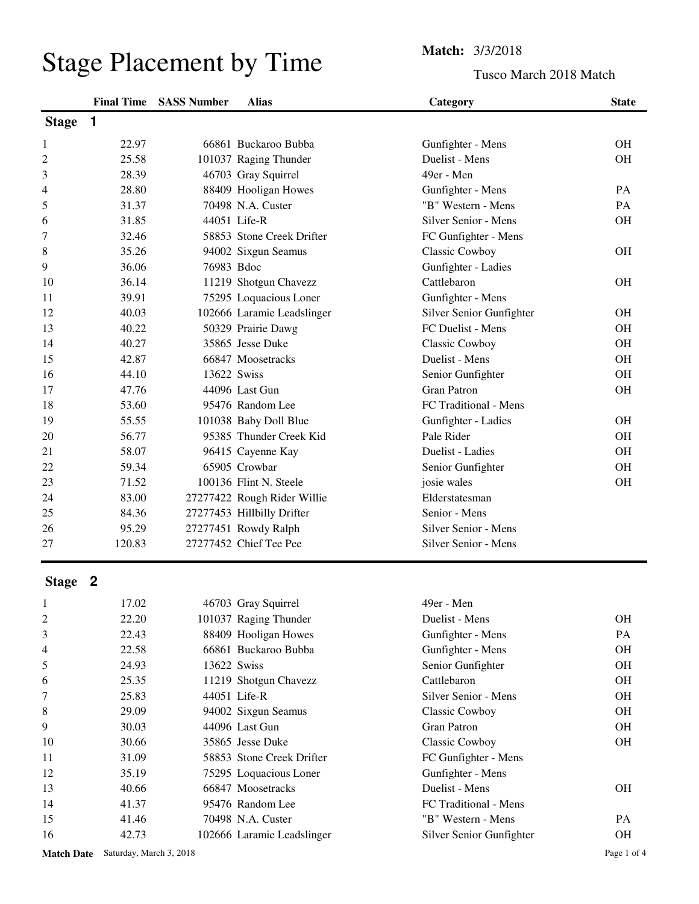## Tusco March 2018 Match

|              | <b>Final Time</b> | <b>SASS Number</b> | <b>Alias</b>                | Category                 | <b>State</b> |
|--------------|-------------------|--------------------|-----------------------------|--------------------------|--------------|
| <b>Stage</b> | 1                 |                    |                             |                          |              |
| 1            | 22.97             |                    | 66861 Buckaroo Bubba        | Gunfighter - Mens        | <b>OH</b>    |
| 2            | 25.58             |                    | 101037 Raging Thunder       | Duelist - Mens           | <b>OH</b>    |
| 3            | 28.39             |                    | 46703 Gray Squirrel         | 49er - Men               |              |
| 4            | 28.80             |                    | 88409 Hooligan Howes        | Gunfighter - Mens        | PA           |
| 5            | 31.37             |                    | 70498 N.A. Custer           | "B" Western - Mens       | PA           |
| 6            | 31.85             |                    | 44051 Life-R                | Silver Senior - Mens     | <b>OH</b>    |
| 7            | 32.46             |                    | 58853 Stone Creek Drifter   | FC Gunfighter - Mens     |              |
| 8            | 35.26             |                    | 94002 Sixgun Seamus         | Classic Cowboy           | <b>OH</b>    |
| 9            | 36.06             | 76983 Bdoc         |                             | Gunfighter - Ladies      |              |
| 10           | 36.14             |                    | 11219 Shotgun Chavezz       | Cattlebaron              | OH           |
| 11           | 39.91             |                    | 75295 Loquacious Loner      | Gunfighter - Mens        |              |
| 12           | 40.03             |                    | 102666 Laramie Leadslinger  | Silver Senior Gunfighter | <b>OH</b>    |
| 13           | 40.22             |                    | 50329 Prairie Dawg          | FC Duelist - Mens        | <b>OH</b>    |
| 14           | 40.27             |                    | 35865 Jesse Duke            | Classic Cowboy           | <b>OH</b>    |
| 15           | 42.87             |                    | 66847 Moosetracks           | Duelist - Mens           | <b>OH</b>    |
| 16           | 44.10             | 13622 Swiss        |                             | Senior Gunfighter        | <b>OH</b>    |
| 17           | 47.76             |                    | 44096 Last Gun              | <b>Gran Patron</b>       | <b>OH</b>    |
| 18           | 53.60             |                    | 95476 Random Lee            | FC Traditional - Mens    |              |
| 19           | 55.55             |                    | 101038 Baby Doll Blue       | Gunfighter - Ladies      | <b>OH</b>    |
| 20           | 56.77             |                    | 95385 Thunder Creek Kid     | Pale Rider               | <b>OH</b>    |
| 21           | 58.07             |                    | 96415 Cayenne Kay           | Duelist - Ladies         | <b>OH</b>    |
| 22           | 59.34             |                    | 65905 Crowbar               | Senior Gunfighter        | <b>OH</b>    |
| 23           | 71.52             |                    | 100136 Flint N. Steele      | josie wales              | <b>OH</b>    |
| 24           | 83.00             |                    | 27277422 Rough Rider Willie | Elderstatesman           |              |
| 25           | 84.36             |                    | 27277453 Hillbilly Drifter  | Senior - Mens            |              |
| 26           | 95.29             |                    | 27277451 Rowdy Ralph        | Silver Senior - Mens     |              |
| 27           | 120.83            |                    | 27277452 Chief Tee Pee      | Silver Senior - Mens     |              |

## **Stage 2**

| 1              | 17.02 | 46703 Gray Squirrel        | 49er - Men               |           |
|----------------|-------|----------------------------|--------------------------|-----------|
| $\overline{c}$ | 22.20 | 101037 Raging Thunder      | Duelist - Mens           | <b>OH</b> |
| 3              | 22.43 | 88409 Hooligan Howes       | Gunfighter - Mens        | <b>PA</b> |
| 4              | 22.58 | 66861 Buckaroo Bubba       | Gunfighter - Mens        | <b>OH</b> |
| 5              | 24.93 | 13622 Swiss                | Senior Gunfighter        | <b>OH</b> |
| 6              | 25.35 | 11219 Shotgun Chavezz      | Cattlebaron              | <b>OH</b> |
| 7              | 25.83 | 44051 Life-R               | Silver Senior - Mens     | <b>OH</b> |
| 8              | 29.09 | 94002 Sixgun Seamus        | Classic Cowboy           | <b>OH</b> |
| 9              | 30.03 | 44096 Last Gun             | Gran Patron              | <b>OH</b> |
| 10             | 30.66 | 35865 Jesse Duke           | Classic Cowboy           | <b>OH</b> |
| 11             | 31.09 | 58853 Stone Creek Drifter  | FC Gunfighter - Mens     |           |
| 12             | 35.19 | 75295 Loquacious Loner     | Gunfighter - Mens        |           |
| 13             | 40.66 | 66847 Moosetracks          | Duelist - Mens           | <b>OH</b> |
| 14             | 41.37 | 95476 Random Lee           | FC Traditional - Mens    |           |
| 15             | 41.46 | 70498 N.A. Custer          | "B" Western - Mens       | <b>PA</b> |
| 16             | 42.73 | 102666 Laramie Leadslinger | Silver Senior Gunfighter | OН        |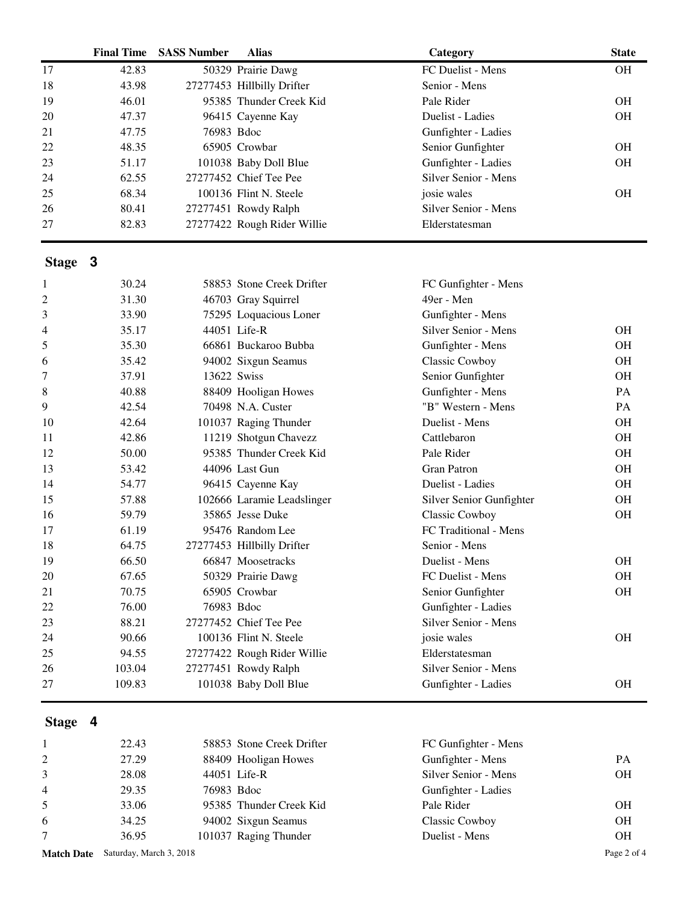| <b>Final Time</b> | <b>SASS Number</b> | <b>Alias</b> | Category                                                                                                                                                                                                                                                                                                                                                                                                                                                                                                                                                                                                                                                                                                                                                                                                                                                                                                           | <b>State</b>         |
|-------------------|--------------------|--------------|--------------------------------------------------------------------------------------------------------------------------------------------------------------------------------------------------------------------------------------------------------------------------------------------------------------------------------------------------------------------------------------------------------------------------------------------------------------------------------------------------------------------------------------------------------------------------------------------------------------------------------------------------------------------------------------------------------------------------------------------------------------------------------------------------------------------------------------------------------------------------------------------------------------------|----------------------|
| 42.83             |                    |              | FC Duelist - Mens                                                                                                                                                                                                                                                                                                                                                                                                                                                                                                                                                                                                                                                                                                                                                                                                                                                                                                  | <b>OH</b>            |
| 43.98             |                    |              | Senior - Mens                                                                                                                                                                                                                                                                                                                                                                                                                                                                                                                                                                                                                                                                                                                                                                                                                                                                                                      |                      |
| 46.01             |                    |              | Pale Rider                                                                                                                                                                                                                                                                                                                                                                                                                                                                                                                                                                                                                                                                                                                                                                                                                                                                                                         |                      |
| 47.37             |                    |              | Duelist - Ladies                                                                                                                                                                                                                                                                                                                                                                                                                                                                                                                                                                                                                                                                                                                                                                                                                                                                                                   | <b>OH</b>            |
| 47.75             |                    |              | Gunfighter - Ladies                                                                                                                                                                                                                                                                                                                                                                                                                                                                                                                                                                                                                                                                                                                                                                                                                                                                                                |                      |
| 48.35             |                    |              | Senior Gunfighter                                                                                                                                                                                                                                                                                                                                                                                                                                                                                                                                                                                                                                                                                                                                                                                                                                                                                                  | <b>OH</b>            |
| 51.17             |                    |              | Gunfighter - Ladies                                                                                                                                                                                                                                                                                                                                                                                                                                                                                                                                                                                                                                                                                                                                                                                                                                                                                                | <b>OH</b>            |
| 62.55             |                    |              | Silver Senior - Mens                                                                                                                                                                                                                                                                                                                                                                                                                                                                                                                                                                                                                                                                                                                                                                                                                                                                                               |                      |
| 68.34             |                    |              | josie wales                                                                                                                                                                                                                                                                                                                                                                                                                                                                                                                                                                                                                                                                                                                                                                                                                                                                                                        | <b>OH</b>            |
| 80.41             |                    |              | Silver Senior - Mens                                                                                                                                                                                                                                                                                                                                                                                                                                                                                                                                                                                                                                                                                                                                                                                                                                                                                               |                      |
| 82.83             |                    |              | Elderstatesman                                                                                                                                                                                                                                                                                                                                                                                                                                                                                                                                                                                                                                                                                                                                                                                                                                                                                                     |                      |
| Stage 3           |                    |              |                                                                                                                                                                                                                                                                                                                                                                                                                                                                                                                                                                                                                                                                                                                                                                                                                                                                                                                    |                      |
| 30.24             |                    |              |                                                                                                                                                                                                                                                                                                                                                                                                                                                                                                                                                                                                                                                                                                                                                                                                                                                                                                                    |                      |
| 31.30             |                    |              | 49er - Men                                                                                                                                                                                                                                                                                                                                                                                                                                                                                                                                                                                                                                                                                                                                                                                                                                                                                                         |                      |
| 33.90             |                    |              | Gunfighter - Mens                                                                                                                                                                                                                                                                                                                                                                                                                                                                                                                                                                                                                                                                                                                                                                                                                                                                                                  |                      |
| 35.17             |                    |              | Silver Senior - Mens                                                                                                                                                                                                                                                                                                                                                                                                                                                                                                                                                                                                                                                                                                                                                                                                                                                                                               | <b>OH</b>            |
| 35.30             |                    |              | Gunfighter - Mens                                                                                                                                                                                                                                                                                                                                                                                                                                                                                                                                                                                                                                                                                                                                                                                                                                                                                                  | <b>OH</b>            |
| 35.42             |                    |              | Classic Cowboy                                                                                                                                                                                                                                                                                                                                                                                                                                                                                                                                                                                                                                                                                                                                                                                                                                                                                                     | <b>OH</b>            |
| 37.91             |                    |              | Senior Gunfighter                                                                                                                                                                                                                                                                                                                                                                                                                                                                                                                                                                                                                                                                                                                                                                                                                                                                                                  | <b>OH</b>            |
| 40.88             |                    |              | Gunfighter - Mens                                                                                                                                                                                                                                                                                                                                                                                                                                                                                                                                                                                                                                                                                                                                                                                                                                                                                                  | PA                   |
| 42.54             |                    |              | "B" Western - Mens                                                                                                                                                                                                                                                                                                                                                                                                                                                                                                                                                                                                                                                                                                                                                                                                                                                                                                 | PA                   |
| 42.64             |                    |              | Duelist - Mens                                                                                                                                                                                                                                                                                                                                                                                                                                                                                                                                                                                                                                                                                                                                                                                                                                                                                                     | <b>OH</b>            |
| 42.86             |                    |              | Cattlebaron                                                                                                                                                                                                                                                                                                                                                                                                                                                                                                                                                                                                                                                                                                                                                                                                                                                                                                        | <b>OH</b>            |
| 50.00             |                    |              | Pale Rider                                                                                                                                                                                                                                                                                                                                                                                                                                                                                                                                                                                                                                                                                                                                                                                                                                                                                                         | <b>OH</b>            |
| 53.42             |                    |              | <b>Gran Patron</b>                                                                                                                                                                                                                                                                                                                                                                                                                                                                                                                                                                                                                                                                                                                                                                                                                                                                                                 | <b>OH</b>            |
| 54.77             |                    |              | Duelist - Ladies                                                                                                                                                                                                                                                                                                                                                                                                                                                                                                                                                                                                                                                                                                                                                                                                                                                                                                   | <b>OH</b>            |
| 57.88             |                    |              | Silver Senior Gunfighter                                                                                                                                                                                                                                                                                                                                                                                                                                                                                                                                                                                                                                                                                                                                                                                                                                                                                           | <b>OH</b>            |
| 59.79             |                    |              | Classic Cowboy                                                                                                                                                                                                                                                                                                                                                                                                                                                                                                                                                                                                                                                                                                                                                                                                                                                                                                     | <b>OH</b>            |
| 61.19             |                    |              | FC Traditional - Mens                                                                                                                                                                                                                                                                                                                                                                                                                                                                                                                                                                                                                                                                                                                                                                                                                                                                                              |                      |
| 64.75             |                    |              | Senior - Mens                                                                                                                                                                                                                                                                                                                                                                                                                                                                                                                                                                                                                                                                                                                                                                                                                                                                                                      |                      |
| 66.50             |                    |              | Duelist - Mens                                                                                                                                                                                                                                                                                                                                                                                                                                                                                                                                                                                                                                                                                                                                                                                                                                                                                                     | <b>OH</b>            |
| 67.65             |                    |              | FC Duelist - Mens                                                                                                                                                                                                                                                                                                                                                                                                                                                                                                                                                                                                                                                                                                                                                                                                                                                                                                  | OH                   |
| 70.75             |                    |              | Senior Gunfighter                                                                                                                                                                                                                                                                                                                                                                                                                                                                                                                                                                                                                                                                                                                                                                                                                                                                                                  | OH                   |
| 76.00             |                    |              | Gunfighter - Ladies                                                                                                                                                                                                                                                                                                                                                                                                                                                                                                                                                                                                                                                                                                                                                                                                                                                                                                |                      |
| 88.21             |                    |              | Silver Senior - Mens                                                                                                                                                                                                                                                                                                                                                                                                                                                                                                                                                                                                                                                                                                                                                                                                                                                                                               |                      |
| 90.66             |                    |              | josie wales                                                                                                                                                                                                                                                                                                                                                                                                                                                                                                                                                                                                                                                                                                                                                                                                                                                                                                        | OH                   |
| 94.55             |                    |              | Elderstatesman                                                                                                                                                                                                                                                                                                                                                                                                                                                                                                                                                                                                                                                                                                                                                                                                                                                                                                     |                      |
| 103.04            |                    |              | Silver Senior - Mens                                                                                                                                                                                                                                                                                                                                                                                                                                                                                                                                                                                                                                                                                                                                                                                                                                                                                               |                      |
| 109.83            |                    |              | Gunfighter - Ladies                                                                                                                                                                                                                                                                                                                                                                                                                                                                                                                                                                                                                                                                                                                                                                                                                                                                                                | <b>OH</b>            |
|                   |                    |              | 50329 Prairie Dawg<br>27277453 Hillbilly Drifter<br>95385 Thunder Creek Kid<br>96415 Cayenne Kay<br>76983 Bdoc<br>65905 Crowbar<br>101038 Baby Doll Blue<br>27277452 Chief Tee Pee<br>100136 Flint N. Steele<br>27277451 Rowdy Ralph<br>27277422 Rough Rider Willie<br>58853 Stone Creek Drifter<br>46703 Gray Squirrel<br>75295 Loquacious Loner<br>44051 Life-R<br>66861 Buckaroo Bubba<br>94002 Sixgun Seamus<br>13622 Swiss<br>88409 Hooligan Howes<br>70498 N.A. Custer<br>101037 Raging Thunder<br>11219 Shotgun Chavezz<br>95385 Thunder Creek Kid<br>44096 Last Gun<br>96415 Cayenne Kay<br>102666 Laramie Leadslinger<br>35865 Jesse Duke<br>95476 Random Lee<br>27277453 Hillbilly Drifter<br>66847 Moosetracks<br>50329 Prairie Dawg<br>65905 Crowbar<br>76983 Bdoc<br>27277452 Chief Tee Pee<br>100136 Flint N. Steele<br>27277422 Rough Rider Willie<br>27277451 Rowdy Ralph<br>101038 Baby Doll Blue | FC Gunfighter - Mens |

## **Stage 4**

|                | 22.43 | 58853 Stone Creek Drifter | FC Gunfighter - Mens |           |
|----------------|-------|---------------------------|----------------------|-----------|
| 2              | 27.29 | 88409 Hooligan Howes      | Gunfighter - Mens    | PA        |
| $\mathbf{3}$   | 28.08 | 44051 Life-R              | Silver Senior - Mens | OН        |
| $\overline{4}$ | 29.35 | 76983 Bdoc                | Gunfighter - Ladies  |           |
| 5              | 33.06 | 95385 Thunder Creek Kid   | Pale Rider           | <b>OH</b> |
| 6              | 34.25 | 94002 Sixgun Seamus       | Classic Cowboy       | OН        |
| $\tau$         | 36.95 | 101037 Raging Thunder     | Duelist - Mens       | OН        |

Match Date Saturday, March 3, 2018 Page 2 of 4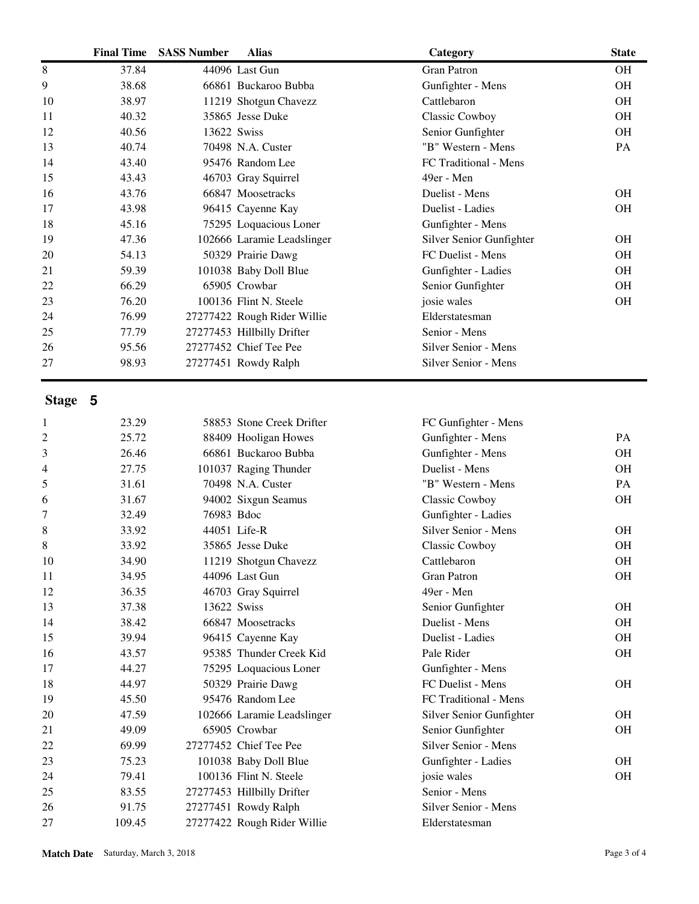| 37.84<br><b>Gran Patron</b><br>OH<br>8<br>44096 Last Gun<br>9<br>38.68<br>66861 Buckaroo Bubba<br>Gunfighter - Mens<br><b>OH</b><br>38.97<br>11219 Shotgun Chavezz<br><b>OH</b><br>10<br>Cattlebaron<br>35865 Jesse Duke<br>40.32<br>Classic Cowboy<br><b>OH</b><br>11<br>OH<br>12<br>40.56<br>13622 Swiss<br>Senior Gunfighter<br>"B" Western - Mens<br>40.74<br>70498 N.A. Custer<br>PA<br>13<br>43.40<br>95476 Random Lee<br>FC Traditional - Mens<br>14<br>43.43<br>46703 Gray Squirrel<br>49er - Men<br>15<br>43.76<br>66847 Moosetracks<br>Duelist - Mens<br><b>OH</b><br>16<br>43.98<br>96415 Cayenne Kay<br>Duelist - Ladies<br><b>OH</b><br>17<br>18<br>45.16<br>75295 Loquacious Loner<br>Gunfighter - Mens<br>102666 Laramie Leadslinger<br>47.36<br>Silver Senior Gunfighter<br>OH<br>19<br>54.13<br>50329 Prairie Dawg<br>FC Duelist - Mens<br><b>OH</b><br>20<br>59.39<br>101038 Baby Doll Blue<br>Gunfighter - Ladies<br><b>OH</b><br>21<br>65905 Crowbar<br>66.29<br>Senior Gunfighter<br>OH<br>22<br>76.20<br>100136 Flint N. Steele<br>josie wales<br><b>OH</b><br>23<br>76.99<br>27277422 Rough Rider Willie<br>Elderstatesman<br>24<br>25<br>77.79<br>27277453 Hillbilly Drifter<br>Senior - Mens<br>27277452 Chief Tee Pee<br>95.56<br>Silver Senior - Mens<br>26<br>Silver Senior - Mens<br>27<br>98.93<br>27277451 Rowdy Ralph<br>Stage 5<br>23.29<br>58853 Stone Creek Drifter<br>FC Gunfighter - Mens<br>1<br>25.72<br>88409 Hooligan Howes<br>Gunfighter - Mens<br>2<br>PA<br>3<br>26.46<br>66861 Buckaroo Bubba<br>Gunfighter - Mens<br><b>OH</b><br>27.75<br>101037 Raging Thunder<br>Duelist - Mens<br><b>OH</b><br>4<br>5<br>31.61<br>70498 N.A. Custer<br>"B" Western - Mens<br>PA<br>31.67<br>Classic Cowboy<br>OH<br>94002 Sixgun Seamus<br>6<br>76983 Bdoc<br>Gunfighter - Ladies<br>7<br>32.49<br>Silver Senior - Mens<br>8<br>33.92<br>44051 Life-R<br><b>OH</b><br>8<br>33.92<br>35865 Jesse Duke<br>Classic Cowboy<br>OH<br>10<br>34.90<br>11219 Shotgun Chavezz<br>Cattlebaron<br><b>OH</b><br>34.95<br>44096 Last Gun<br><b>Gran Patron</b><br>OH<br>11<br>36.35<br>46703 Gray Squirrel<br>49er - Men<br>12<br>13<br>37.38<br>13622 Swiss<br>OH<br>Senior Gunfighter<br>38.42<br>66847 Moosetracks<br>Duelist - Mens<br>OH<br>14<br>39.94<br>96415 Cayenne Kay<br>Duelist - Ladies<br>OH<br>15<br>95385 Thunder Creek Kid<br>Pale Rider<br>OH<br>16<br>43.57<br>44.27<br>75295 Loquacious Loner<br>Gunfighter - Mens<br>17<br>FC Duelist - Mens<br>44.97<br>50329 Prairie Dawg<br><b>OH</b><br>18<br>45.50<br>95476 Random Lee<br>FC Traditional - Mens<br>19<br>102666 Laramie Leadslinger<br>Silver Senior Gunfighter<br>OH<br>20<br>47.59<br>49.09<br>65905 Crowbar<br>Senior Gunfighter<br>OH<br>21<br>Silver Senior - Mens<br>69.99<br>27277452 Chief Tee Pee<br>22<br>75.23<br>101038 Baby Doll Blue<br>Gunfighter - Ladies<br>OH<br>23<br>79.41<br>100136 Flint N. Steele<br>josie wales<br>OH<br>24<br>25<br>Senior - Mens<br>83.55<br>27277453 Hillbilly Drifter<br>Silver Senior - Mens<br>26<br>91.75<br>27277451 Rowdy Ralph<br>27277422 Rough Rider Willie<br>27<br>109.45<br>Elderstatesman | <b>Final Time</b> | <b>SASS Number</b> | <b>Alias</b> | Category | <b>State</b> |
|---------------------------------------------------------------------------------------------------------------------------------------------------------------------------------------------------------------------------------------------------------------------------------------------------------------------------------------------------------------------------------------------------------------------------------------------------------------------------------------------------------------------------------------------------------------------------------------------------------------------------------------------------------------------------------------------------------------------------------------------------------------------------------------------------------------------------------------------------------------------------------------------------------------------------------------------------------------------------------------------------------------------------------------------------------------------------------------------------------------------------------------------------------------------------------------------------------------------------------------------------------------------------------------------------------------------------------------------------------------------------------------------------------------------------------------------------------------------------------------------------------------------------------------------------------------------------------------------------------------------------------------------------------------------------------------------------------------------------------------------------------------------------------------------------------------------------------------------------------------------------------------------------------------------------------------------------------------------------------------------------------------------------------------------------------------------------------------------------------------------------------------------------------------------------------------------------------------------------------------------------------------------------------------------------------------------------------------------------------------------------------------------------------------------------------------------------------------------------------------------------------------------------------------------------------------------------------------------------------------------------------------------------------------------------------------------------------------------------------------------------------------------------------------------------------------------------------------------------------------------------------------------------------------------------------------------------------------------------------------------------------------------------------------------------------------------------------------------------------------------------------------------------|-------------------|--------------------|--------------|----------|--------------|
|                                                                                                                                                                                                                                                                                                                                                                                                                                                                                                                                                                                                                                                                                                                                                                                                                                                                                                                                                                                                                                                                                                                                                                                                                                                                                                                                                                                                                                                                                                                                                                                                                                                                                                                                                                                                                                                                                                                                                                                                                                                                                                                                                                                                                                                                                                                                                                                                                                                                                                                                                                                                                                                                                                                                                                                                                                                                                                                                                                                                                                                                                                                                                   |                   |                    |              |          |              |
|                                                                                                                                                                                                                                                                                                                                                                                                                                                                                                                                                                                                                                                                                                                                                                                                                                                                                                                                                                                                                                                                                                                                                                                                                                                                                                                                                                                                                                                                                                                                                                                                                                                                                                                                                                                                                                                                                                                                                                                                                                                                                                                                                                                                                                                                                                                                                                                                                                                                                                                                                                                                                                                                                                                                                                                                                                                                                                                                                                                                                                                                                                                                                   |                   |                    |              |          |              |
|                                                                                                                                                                                                                                                                                                                                                                                                                                                                                                                                                                                                                                                                                                                                                                                                                                                                                                                                                                                                                                                                                                                                                                                                                                                                                                                                                                                                                                                                                                                                                                                                                                                                                                                                                                                                                                                                                                                                                                                                                                                                                                                                                                                                                                                                                                                                                                                                                                                                                                                                                                                                                                                                                                                                                                                                                                                                                                                                                                                                                                                                                                                                                   |                   |                    |              |          |              |
|                                                                                                                                                                                                                                                                                                                                                                                                                                                                                                                                                                                                                                                                                                                                                                                                                                                                                                                                                                                                                                                                                                                                                                                                                                                                                                                                                                                                                                                                                                                                                                                                                                                                                                                                                                                                                                                                                                                                                                                                                                                                                                                                                                                                                                                                                                                                                                                                                                                                                                                                                                                                                                                                                                                                                                                                                                                                                                                                                                                                                                                                                                                                                   |                   |                    |              |          |              |
|                                                                                                                                                                                                                                                                                                                                                                                                                                                                                                                                                                                                                                                                                                                                                                                                                                                                                                                                                                                                                                                                                                                                                                                                                                                                                                                                                                                                                                                                                                                                                                                                                                                                                                                                                                                                                                                                                                                                                                                                                                                                                                                                                                                                                                                                                                                                                                                                                                                                                                                                                                                                                                                                                                                                                                                                                                                                                                                                                                                                                                                                                                                                                   |                   |                    |              |          |              |
|                                                                                                                                                                                                                                                                                                                                                                                                                                                                                                                                                                                                                                                                                                                                                                                                                                                                                                                                                                                                                                                                                                                                                                                                                                                                                                                                                                                                                                                                                                                                                                                                                                                                                                                                                                                                                                                                                                                                                                                                                                                                                                                                                                                                                                                                                                                                                                                                                                                                                                                                                                                                                                                                                                                                                                                                                                                                                                                                                                                                                                                                                                                                                   |                   |                    |              |          |              |
|                                                                                                                                                                                                                                                                                                                                                                                                                                                                                                                                                                                                                                                                                                                                                                                                                                                                                                                                                                                                                                                                                                                                                                                                                                                                                                                                                                                                                                                                                                                                                                                                                                                                                                                                                                                                                                                                                                                                                                                                                                                                                                                                                                                                                                                                                                                                                                                                                                                                                                                                                                                                                                                                                                                                                                                                                                                                                                                                                                                                                                                                                                                                                   |                   |                    |              |          |              |
|                                                                                                                                                                                                                                                                                                                                                                                                                                                                                                                                                                                                                                                                                                                                                                                                                                                                                                                                                                                                                                                                                                                                                                                                                                                                                                                                                                                                                                                                                                                                                                                                                                                                                                                                                                                                                                                                                                                                                                                                                                                                                                                                                                                                                                                                                                                                                                                                                                                                                                                                                                                                                                                                                                                                                                                                                                                                                                                                                                                                                                                                                                                                                   |                   |                    |              |          |              |
|                                                                                                                                                                                                                                                                                                                                                                                                                                                                                                                                                                                                                                                                                                                                                                                                                                                                                                                                                                                                                                                                                                                                                                                                                                                                                                                                                                                                                                                                                                                                                                                                                                                                                                                                                                                                                                                                                                                                                                                                                                                                                                                                                                                                                                                                                                                                                                                                                                                                                                                                                                                                                                                                                                                                                                                                                                                                                                                                                                                                                                                                                                                                                   |                   |                    |              |          |              |
|                                                                                                                                                                                                                                                                                                                                                                                                                                                                                                                                                                                                                                                                                                                                                                                                                                                                                                                                                                                                                                                                                                                                                                                                                                                                                                                                                                                                                                                                                                                                                                                                                                                                                                                                                                                                                                                                                                                                                                                                                                                                                                                                                                                                                                                                                                                                                                                                                                                                                                                                                                                                                                                                                                                                                                                                                                                                                                                                                                                                                                                                                                                                                   |                   |                    |              |          |              |
|                                                                                                                                                                                                                                                                                                                                                                                                                                                                                                                                                                                                                                                                                                                                                                                                                                                                                                                                                                                                                                                                                                                                                                                                                                                                                                                                                                                                                                                                                                                                                                                                                                                                                                                                                                                                                                                                                                                                                                                                                                                                                                                                                                                                                                                                                                                                                                                                                                                                                                                                                                                                                                                                                                                                                                                                                                                                                                                                                                                                                                                                                                                                                   |                   |                    |              |          |              |
|                                                                                                                                                                                                                                                                                                                                                                                                                                                                                                                                                                                                                                                                                                                                                                                                                                                                                                                                                                                                                                                                                                                                                                                                                                                                                                                                                                                                                                                                                                                                                                                                                                                                                                                                                                                                                                                                                                                                                                                                                                                                                                                                                                                                                                                                                                                                                                                                                                                                                                                                                                                                                                                                                                                                                                                                                                                                                                                                                                                                                                                                                                                                                   |                   |                    |              |          |              |
|                                                                                                                                                                                                                                                                                                                                                                                                                                                                                                                                                                                                                                                                                                                                                                                                                                                                                                                                                                                                                                                                                                                                                                                                                                                                                                                                                                                                                                                                                                                                                                                                                                                                                                                                                                                                                                                                                                                                                                                                                                                                                                                                                                                                                                                                                                                                                                                                                                                                                                                                                                                                                                                                                                                                                                                                                                                                                                                                                                                                                                                                                                                                                   |                   |                    |              |          |              |
|                                                                                                                                                                                                                                                                                                                                                                                                                                                                                                                                                                                                                                                                                                                                                                                                                                                                                                                                                                                                                                                                                                                                                                                                                                                                                                                                                                                                                                                                                                                                                                                                                                                                                                                                                                                                                                                                                                                                                                                                                                                                                                                                                                                                                                                                                                                                                                                                                                                                                                                                                                                                                                                                                                                                                                                                                                                                                                                                                                                                                                                                                                                                                   |                   |                    |              |          |              |
|                                                                                                                                                                                                                                                                                                                                                                                                                                                                                                                                                                                                                                                                                                                                                                                                                                                                                                                                                                                                                                                                                                                                                                                                                                                                                                                                                                                                                                                                                                                                                                                                                                                                                                                                                                                                                                                                                                                                                                                                                                                                                                                                                                                                                                                                                                                                                                                                                                                                                                                                                                                                                                                                                                                                                                                                                                                                                                                                                                                                                                                                                                                                                   |                   |                    |              |          |              |
|                                                                                                                                                                                                                                                                                                                                                                                                                                                                                                                                                                                                                                                                                                                                                                                                                                                                                                                                                                                                                                                                                                                                                                                                                                                                                                                                                                                                                                                                                                                                                                                                                                                                                                                                                                                                                                                                                                                                                                                                                                                                                                                                                                                                                                                                                                                                                                                                                                                                                                                                                                                                                                                                                                                                                                                                                                                                                                                                                                                                                                                                                                                                                   |                   |                    |              |          |              |
|                                                                                                                                                                                                                                                                                                                                                                                                                                                                                                                                                                                                                                                                                                                                                                                                                                                                                                                                                                                                                                                                                                                                                                                                                                                                                                                                                                                                                                                                                                                                                                                                                                                                                                                                                                                                                                                                                                                                                                                                                                                                                                                                                                                                                                                                                                                                                                                                                                                                                                                                                                                                                                                                                                                                                                                                                                                                                                                                                                                                                                                                                                                                                   |                   |                    |              |          |              |
|                                                                                                                                                                                                                                                                                                                                                                                                                                                                                                                                                                                                                                                                                                                                                                                                                                                                                                                                                                                                                                                                                                                                                                                                                                                                                                                                                                                                                                                                                                                                                                                                                                                                                                                                                                                                                                                                                                                                                                                                                                                                                                                                                                                                                                                                                                                                                                                                                                                                                                                                                                                                                                                                                                                                                                                                                                                                                                                                                                                                                                                                                                                                                   |                   |                    |              |          |              |
|                                                                                                                                                                                                                                                                                                                                                                                                                                                                                                                                                                                                                                                                                                                                                                                                                                                                                                                                                                                                                                                                                                                                                                                                                                                                                                                                                                                                                                                                                                                                                                                                                                                                                                                                                                                                                                                                                                                                                                                                                                                                                                                                                                                                                                                                                                                                                                                                                                                                                                                                                                                                                                                                                                                                                                                                                                                                                                                                                                                                                                                                                                                                                   |                   |                    |              |          |              |
|                                                                                                                                                                                                                                                                                                                                                                                                                                                                                                                                                                                                                                                                                                                                                                                                                                                                                                                                                                                                                                                                                                                                                                                                                                                                                                                                                                                                                                                                                                                                                                                                                                                                                                                                                                                                                                                                                                                                                                                                                                                                                                                                                                                                                                                                                                                                                                                                                                                                                                                                                                                                                                                                                                                                                                                                                                                                                                                                                                                                                                                                                                                                                   |                   |                    |              |          |              |
|                                                                                                                                                                                                                                                                                                                                                                                                                                                                                                                                                                                                                                                                                                                                                                                                                                                                                                                                                                                                                                                                                                                                                                                                                                                                                                                                                                                                                                                                                                                                                                                                                                                                                                                                                                                                                                                                                                                                                                                                                                                                                                                                                                                                                                                                                                                                                                                                                                                                                                                                                                                                                                                                                                                                                                                                                                                                                                                                                                                                                                                                                                                                                   |                   |                    |              |          |              |
|                                                                                                                                                                                                                                                                                                                                                                                                                                                                                                                                                                                                                                                                                                                                                                                                                                                                                                                                                                                                                                                                                                                                                                                                                                                                                                                                                                                                                                                                                                                                                                                                                                                                                                                                                                                                                                                                                                                                                                                                                                                                                                                                                                                                                                                                                                                                                                                                                                                                                                                                                                                                                                                                                                                                                                                                                                                                                                                                                                                                                                                                                                                                                   |                   |                    |              |          |              |
|                                                                                                                                                                                                                                                                                                                                                                                                                                                                                                                                                                                                                                                                                                                                                                                                                                                                                                                                                                                                                                                                                                                                                                                                                                                                                                                                                                                                                                                                                                                                                                                                                                                                                                                                                                                                                                                                                                                                                                                                                                                                                                                                                                                                                                                                                                                                                                                                                                                                                                                                                                                                                                                                                                                                                                                                                                                                                                                                                                                                                                                                                                                                                   |                   |                    |              |          |              |
|                                                                                                                                                                                                                                                                                                                                                                                                                                                                                                                                                                                                                                                                                                                                                                                                                                                                                                                                                                                                                                                                                                                                                                                                                                                                                                                                                                                                                                                                                                                                                                                                                                                                                                                                                                                                                                                                                                                                                                                                                                                                                                                                                                                                                                                                                                                                                                                                                                                                                                                                                                                                                                                                                                                                                                                                                                                                                                                                                                                                                                                                                                                                                   |                   |                    |              |          |              |
|                                                                                                                                                                                                                                                                                                                                                                                                                                                                                                                                                                                                                                                                                                                                                                                                                                                                                                                                                                                                                                                                                                                                                                                                                                                                                                                                                                                                                                                                                                                                                                                                                                                                                                                                                                                                                                                                                                                                                                                                                                                                                                                                                                                                                                                                                                                                                                                                                                                                                                                                                                                                                                                                                                                                                                                                                                                                                                                                                                                                                                                                                                                                                   |                   |                    |              |          |              |
|                                                                                                                                                                                                                                                                                                                                                                                                                                                                                                                                                                                                                                                                                                                                                                                                                                                                                                                                                                                                                                                                                                                                                                                                                                                                                                                                                                                                                                                                                                                                                                                                                                                                                                                                                                                                                                                                                                                                                                                                                                                                                                                                                                                                                                                                                                                                                                                                                                                                                                                                                                                                                                                                                                                                                                                                                                                                                                                                                                                                                                                                                                                                                   |                   |                    |              |          |              |
|                                                                                                                                                                                                                                                                                                                                                                                                                                                                                                                                                                                                                                                                                                                                                                                                                                                                                                                                                                                                                                                                                                                                                                                                                                                                                                                                                                                                                                                                                                                                                                                                                                                                                                                                                                                                                                                                                                                                                                                                                                                                                                                                                                                                                                                                                                                                                                                                                                                                                                                                                                                                                                                                                                                                                                                                                                                                                                                                                                                                                                                                                                                                                   |                   |                    |              |          |              |
|                                                                                                                                                                                                                                                                                                                                                                                                                                                                                                                                                                                                                                                                                                                                                                                                                                                                                                                                                                                                                                                                                                                                                                                                                                                                                                                                                                                                                                                                                                                                                                                                                                                                                                                                                                                                                                                                                                                                                                                                                                                                                                                                                                                                                                                                                                                                                                                                                                                                                                                                                                                                                                                                                                                                                                                                                                                                                                                                                                                                                                                                                                                                                   |                   |                    |              |          |              |
|                                                                                                                                                                                                                                                                                                                                                                                                                                                                                                                                                                                                                                                                                                                                                                                                                                                                                                                                                                                                                                                                                                                                                                                                                                                                                                                                                                                                                                                                                                                                                                                                                                                                                                                                                                                                                                                                                                                                                                                                                                                                                                                                                                                                                                                                                                                                                                                                                                                                                                                                                                                                                                                                                                                                                                                                                                                                                                                                                                                                                                                                                                                                                   |                   |                    |              |          |              |
|                                                                                                                                                                                                                                                                                                                                                                                                                                                                                                                                                                                                                                                                                                                                                                                                                                                                                                                                                                                                                                                                                                                                                                                                                                                                                                                                                                                                                                                                                                                                                                                                                                                                                                                                                                                                                                                                                                                                                                                                                                                                                                                                                                                                                                                                                                                                                                                                                                                                                                                                                                                                                                                                                                                                                                                                                                                                                                                                                                                                                                                                                                                                                   |                   |                    |              |          |              |
|                                                                                                                                                                                                                                                                                                                                                                                                                                                                                                                                                                                                                                                                                                                                                                                                                                                                                                                                                                                                                                                                                                                                                                                                                                                                                                                                                                                                                                                                                                                                                                                                                                                                                                                                                                                                                                                                                                                                                                                                                                                                                                                                                                                                                                                                                                                                                                                                                                                                                                                                                                                                                                                                                                                                                                                                                                                                                                                                                                                                                                                                                                                                                   |                   |                    |              |          |              |
|                                                                                                                                                                                                                                                                                                                                                                                                                                                                                                                                                                                                                                                                                                                                                                                                                                                                                                                                                                                                                                                                                                                                                                                                                                                                                                                                                                                                                                                                                                                                                                                                                                                                                                                                                                                                                                                                                                                                                                                                                                                                                                                                                                                                                                                                                                                                                                                                                                                                                                                                                                                                                                                                                                                                                                                                                                                                                                                                                                                                                                                                                                                                                   |                   |                    |              |          |              |
|                                                                                                                                                                                                                                                                                                                                                                                                                                                                                                                                                                                                                                                                                                                                                                                                                                                                                                                                                                                                                                                                                                                                                                                                                                                                                                                                                                                                                                                                                                                                                                                                                                                                                                                                                                                                                                                                                                                                                                                                                                                                                                                                                                                                                                                                                                                                                                                                                                                                                                                                                                                                                                                                                                                                                                                                                                                                                                                                                                                                                                                                                                                                                   |                   |                    |              |          |              |
|                                                                                                                                                                                                                                                                                                                                                                                                                                                                                                                                                                                                                                                                                                                                                                                                                                                                                                                                                                                                                                                                                                                                                                                                                                                                                                                                                                                                                                                                                                                                                                                                                                                                                                                                                                                                                                                                                                                                                                                                                                                                                                                                                                                                                                                                                                                                                                                                                                                                                                                                                                                                                                                                                                                                                                                                                                                                                                                                                                                                                                                                                                                                                   |                   |                    |              |          |              |
|                                                                                                                                                                                                                                                                                                                                                                                                                                                                                                                                                                                                                                                                                                                                                                                                                                                                                                                                                                                                                                                                                                                                                                                                                                                                                                                                                                                                                                                                                                                                                                                                                                                                                                                                                                                                                                                                                                                                                                                                                                                                                                                                                                                                                                                                                                                                                                                                                                                                                                                                                                                                                                                                                                                                                                                                                                                                                                                                                                                                                                                                                                                                                   |                   |                    |              |          |              |
|                                                                                                                                                                                                                                                                                                                                                                                                                                                                                                                                                                                                                                                                                                                                                                                                                                                                                                                                                                                                                                                                                                                                                                                                                                                                                                                                                                                                                                                                                                                                                                                                                                                                                                                                                                                                                                                                                                                                                                                                                                                                                                                                                                                                                                                                                                                                                                                                                                                                                                                                                                                                                                                                                                                                                                                                                                                                                                                                                                                                                                                                                                                                                   |                   |                    |              |          |              |
|                                                                                                                                                                                                                                                                                                                                                                                                                                                                                                                                                                                                                                                                                                                                                                                                                                                                                                                                                                                                                                                                                                                                                                                                                                                                                                                                                                                                                                                                                                                                                                                                                                                                                                                                                                                                                                                                                                                                                                                                                                                                                                                                                                                                                                                                                                                                                                                                                                                                                                                                                                                                                                                                                                                                                                                                                                                                                                                                                                                                                                                                                                                                                   |                   |                    |              |          |              |
|                                                                                                                                                                                                                                                                                                                                                                                                                                                                                                                                                                                                                                                                                                                                                                                                                                                                                                                                                                                                                                                                                                                                                                                                                                                                                                                                                                                                                                                                                                                                                                                                                                                                                                                                                                                                                                                                                                                                                                                                                                                                                                                                                                                                                                                                                                                                                                                                                                                                                                                                                                                                                                                                                                                                                                                                                                                                                                                                                                                                                                                                                                                                                   |                   |                    |              |          |              |
|                                                                                                                                                                                                                                                                                                                                                                                                                                                                                                                                                                                                                                                                                                                                                                                                                                                                                                                                                                                                                                                                                                                                                                                                                                                                                                                                                                                                                                                                                                                                                                                                                                                                                                                                                                                                                                                                                                                                                                                                                                                                                                                                                                                                                                                                                                                                                                                                                                                                                                                                                                                                                                                                                                                                                                                                                                                                                                                                                                                                                                                                                                                                                   |                   |                    |              |          |              |
|                                                                                                                                                                                                                                                                                                                                                                                                                                                                                                                                                                                                                                                                                                                                                                                                                                                                                                                                                                                                                                                                                                                                                                                                                                                                                                                                                                                                                                                                                                                                                                                                                                                                                                                                                                                                                                                                                                                                                                                                                                                                                                                                                                                                                                                                                                                                                                                                                                                                                                                                                                                                                                                                                                                                                                                                                                                                                                                                                                                                                                                                                                                                                   |                   |                    |              |          |              |
|                                                                                                                                                                                                                                                                                                                                                                                                                                                                                                                                                                                                                                                                                                                                                                                                                                                                                                                                                                                                                                                                                                                                                                                                                                                                                                                                                                                                                                                                                                                                                                                                                                                                                                                                                                                                                                                                                                                                                                                                                                                                                                                                                                                                                                                                                                                                                                                                                                                                                                                                                                                                                                                                                                                                                                                                                                                                                                                                                                                                                                                                                                                                                   |                   |                    |              |          |              |
|                                                                                                                                                                                                                                                                                                                                                                                                                                                                                                                                                                                                                                                                                                                                                                                                                                                                                                                                                                                                                                                                                                                                                                                                                                                                                                                                                                                                                                                                                                                                                                                                                                                                                                                                                                                                                                                                                                                                                                                                                                                                                                                                                                                                                                                                                                                                                                                                                                                                                                                                                                                                                                                                                                                                                                                                                                                                                                                                                                                                                                                                                                                                                   |                   |                    |              |          |              |
|                                                                                                                                                                                                                                                                                                                                                                                                                                                                                                                                                                                                                                                                                                                                                                                                                                                                                                                                                                                                                                                                                                                                                                                                                                                                                                                                                                                                                                                                                                                                                                                                                                                                                                                                                                                                                                                                                                                                                                                                                                                                                                                                                                                                                                                                                                                                                                                                                                                                                                                                                                                                                                                                                                                                                                                                                                                                                                                                                                                                                                                                                                                                                   |                   |                    |              |          |              |
|                                                                                                                                                                                                                                                                                                                                                                                                                                                                                                                                                                                                                                                                                                                                                                                                                                                                                                                                                                                                                                                                                                                                                                                                                                                                                                                                                                                                                                                                                                                                                                                                                                                                                                                                                                                                                                                                                                                                                                                                                                                                                                                                                                                                                                                                                                                                                                                                                                                                                                                                                                                                                                                                                                                                                                                                                                                                                                                                                                                                                                                                                                                                                   |                   |                    |              |          |              |
|                                                                                                                                                                                                                                                                                                                                                                                                                                                                                                                                                                                                                                                                                                                                                                                                                                                                                                                                                                                                                                                                                                                                                                                                                                                                                                                                                                                                                                                                                                                                                                                                                                                                                                                                                                                                                                                                                                                                                                                                                                                                                                                                                                                                                                                                                                                                                                                                                                                                                                                                                                                                                                                                                                                                                                                                                                                                                                                                                                                                                                                                                                                                                   |                   |                    |              |          |              |
|                                                                                                                                                                                                                                                                                                                                                                                                                                                                                                                                                                                                                                                                                                                                                                                                                                                                                                                                                                                                                                                                                                                                                                                                                                                                                                                                                                                                                                                                                                                                                                                                                                                                                                                                                                                                                                                                                                                                                                                                                                                                                                                                                                                                                                                                                                                                                                                                                                                                                                                                                                                                                                                                                                                                                                                                                                                                                                                                                                                                                                                                                                                                                   |                   |                    |              |          |              |
|                                                                                                                                                                                                                                                                                                                                                                                                                                                                                                                                                                                                                                                                                                                                                                                                                                                                                                                                                                                                                                                                                                                                                                                                                                                                                                                                                                                                                                                                                                                                                                                                                                                                                                                                                                                                                                                                                                                                                                                                                                                                                                                                                                                                                                                                                                                                                                                                                                                                                                                                                                                                                                                                                                                                                                                                                                                                                                                                                                                                                                                                                                                                                   |                   |                    |              |          |              |
|                                                                                                                                                                                                                                                                                                                                                                                                                                                                                                                                                                                                                                                                                                                                                                                                                                                                                                                                                                                                                                                                                                                                                                                                                                                                                                                                                                                                                                                                                                                                                                                                                                                                                                                                                                                                                                                                                                                                                                                                                                                                                                                                                                                                                                                                                                                                                                                                                                                                                                                                                                                                                                                                                                                                                                                                                                                                                                                                                                                                                                                                                                                                                   |                   |                    |              |          |              |
|                                                                                                                                                                                                                                                                                                                                                                                                                                                                                                                                                                                                                                                                                                                                                                                                                                                                                                                                                                                                                                                                                                                                                                                                                                                                                                                                                                                                                                                                                                                                                                                                                                                                                                                                                                                                                                                                                                                                                                                                                                                                                                                                                                                                                                                                                                                                                                                                                                                                                                                                                                                                                                                                                                                                                                                                                                                                                                                                                                                                                                                                                                                                                   |                   |                    |              |          |              |